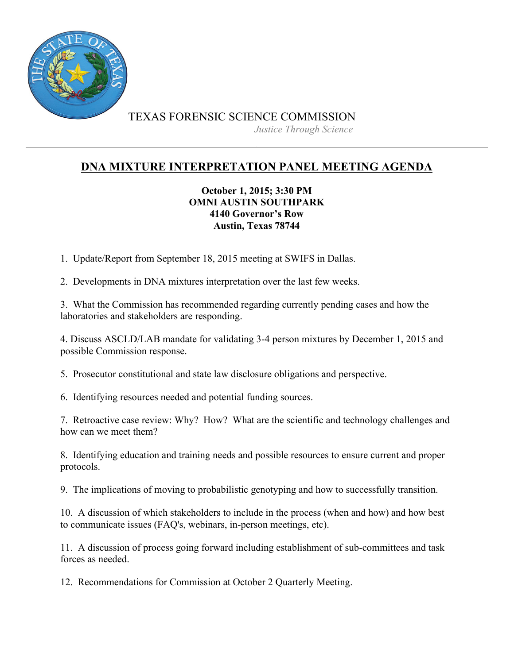

## **DNA MIXTURE INTERPRETATION PANEL MEETING AGENDA**

## **October 1, 2015; 3:30 PM OMNI AUSTIN SOUTHPARK 4140 Governor's Row Austin, Texas 78744**

1. Update/Report from September 18, 2015 meeting at SWIFS in Dallas.

2. Developments in DNA mixtures interpretation over the last few weeks.

3. What the Commission has recommended regarding currently pending cases and how the laboratories and stakeholders are responding.

4. Discuss ASCLD/LAB mandate for validating 3-4 person mixtures by December 1, 2015 and possible Commission response.

5. Prosecutor constitutional and state law disclosure obligations and perspective.

6. Identifying resources needed and potential funding sources.

7. Retroactive case review: Why? How? What are the scientific and technology challenges and how can we meet them?

8. Identifying education and training needs and possible resources to ensure current and proper protocols.

9. The implications of moving to probabilistic genotyping and how to successfully transition.

10. A discussion of which stakeholders to include in the process (when and how) and how best to communicate issues (FAQ's, webinars, in-person meetings, etc).

11. A discussion of process going forward including establishment of sub-committees and task forces as needed.

12. Recommendations for Commission at October 2 Quarterly Meeting.